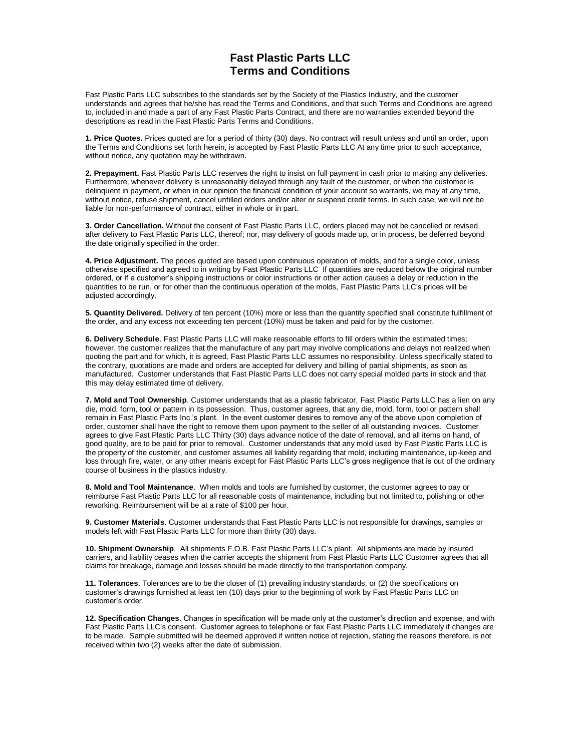## **Fast Plastic Parts LLC Terms and Conditions**

Fast Plastic Parts LLC subscribes to the standards set by the Society of the Plastics Industry, and the customer understands and agrees that he/she has read the Terms and Conditions, and that such Terms and Conditions are agreed to, included in and made a part of any Fast Plastic Parts Contract, and there are no warranties extended beyond the descriptions as read in the Fast Plastic Parts Terms and Conditions.

**1. Price Quotes.** Prices quoted are for a period of thirty (30) days. No contract will result unless and until an order, upon the Terms and Conditions set forth herein, is accepted by Fast Plastic Parts LLC At any time prior to such acceptance, without notice, any quotation may be withdrawn.

**2. Prepayment.** Fast Plastic Parts LLC reserves the right to insist on full payment in cash prior to making any deliveries. Furthermore, whenever delivery is unreasonably delayed through any fault of the customer, or when the customer is delinguent in payment, or when in our opinion the financial condition of your account so warrants, we may at any time, without notice, refuse shipment, cancel unfilled orders and/or alter or suspend credit terms. In such case, we will not be liable for non-performance of contract, either in whole or in part.

**3. Order Cancellation.** Without the consent of Fast Plastic Parts LLC, orders placed may not be cancelled or revised after delivery to Fast Plastic Parts LLC, thereof; nor, may delivery of goods made up, or in process, be deferred beyond the date originally specified in the order.

**4. Price Adjustment.** The prices quoted are based upon continuous operation of molds, and for a single color, unless otherwise specified and agreed to in writing by Fast Plastic Parts LLC If quantities are reduced below the original number ordered, or if a customer's shipping instructions or color instructions or other action causes a delay or reduction in the quantities to be run, or for other than the continuous operation of the molds, Fast Plastic Parts LLC's prices will be adjusted accordingly.

**5. Quantity Delivered.** Delivery of ten percent (10%) more or less than the quantity specified shall constitute fulfillment of the order, and any excess not exceeding ten percent (10%) must be taken and paid for by the customer.

**6. Delivery Schedule**. Fast Plastic Parts LLC will make reasonable efforts to fill orders within the estimated times; however, the customer realizes that the manufacture of any part may involve complications and delays not realized when quoting the part and for which, it is agreed, Fast Plastic Parts LLC assumes no responsibility. Unless specifically stated to the contrary, quotations are made and orders are accepted for delivery and billing of partial shipments, as soon as manufactured. Customer understands that Fast Plastic Parts LLC does not carry special molded parts in stock and that this may delay estimated time of delivery.

**7. Mold and Tool Ownership**. Customer understands that as a plastic fabricator, Fast Plastic Parts LLC has a lien on any die, mold, form, tool or pattern in its possession. Thus, customer agrees, that any die, mold, form, tool or pattern shall remain in Fast Plastic Parts Inc.'s plant. In the event customer desires to remove any of the above upon completion of order, customer shall have the right to remove them upon payment to the seller of all outstanding invoices. Customer agrees to give Fast Plastic Parts LLC Thirty (30) days advance notice of the date of removal, and all items on hand, of good quality, are to be paid for prior to removal. Customer understands that any mold used by Fast Plastic Parts LLC is the property of the customer, and customer assumes all liability regarding that mold, including maintenance, up-keep and loss through fire, water, or any other means except for Fast Plastic Parts LLC's gross negligence that is out of the ordinary course of business in the plastics industry.

**8. Mold and Tool Maintenance**. When molds and tools are furnished by customer, the customer agrees to pay or reimburse Fast Plastic Parts LLC for all reasonable costs of maintenance, including but not limited to, polishing or other reworking. Reimbursement will be at a rate of \$100 per hour.

**9. Customer Materials**. Customer understands that Fast Plastic Parts LLC is not responsible for drawings, samples or models left with Fast Plastic Parts LLC for more than thirty (30) days.

**10. Shipment Ownership**. All shipments F.O.B. Fast Plastic Parts LLC's plant. All shipments are made by insured carriers, and liability ceases when the carrier accepts the shipment from Fast Plastic Parts LLC Customer agrees that all claims for breakage, damage and losses should be made directly to the transportation company.

**11. Tolerances**. Tolerances are to be the closer of (1) prevailing industry standards, or (2) the specifications on customer's drawings furnished at least ten (10) days prior to the beginning of work by Fast Plastic Parts LLC on customer's order.

**12. Specification Changes**. Changes in specification will be made only at the customer's direction and expense, and with Fast Plastic Parts LLC's consent. Customer agrees to telephone or fax Fast Plastic Parts LLC immediately if changes are to be made. Sample submitted will be deemed approved if written notice of rejection, stating the reasons therefore, is not received within two (2) weeks after the date of submission.